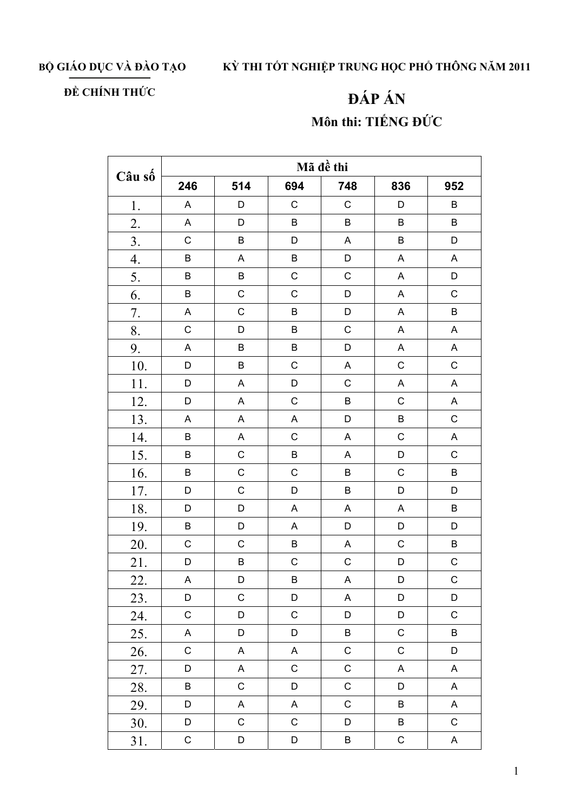BỘ GIÁO DỤC VÀ ĐÀO TẠO

## KỪ THI TỐT NGHIỆP TRUNG HỌC PHỔ THÔNG NĂM 2011

## ĐỀ CHÍNH THỨC

## ĐÁP ÁN Môn thi: TIẾNG ĐỨC

| Câu số           | Mã đề thi   |             |             |                           |                           |                           |  |  |
|------------------|-------------|-------------|-------------|---------------------------|---------------------------|---------------------------|--|--|
|                  | 246         | 514         | 694         | 748                       | 836                       | 952                       |  |  |
| 1.               | A           | D           | $\mathsf C$ | $\mathsf C$               | D                         | B                         |  |  |
| 2.               | A           | D           | B           | $\sf B$                   | B                         | B                         |  |  |
| $\overline{3}$ . | $\mathsf C$ | $\sf B$     | D           | $\boldsymbol{\mathsf{A}}$ | $\sf B$                   | D                         |  |  |
| $\overline{4}$ . | $\sf B$     | A           | $\sf B$     | D                         | $\mathsf A$               | $\boldsymbol{\mathsf{A}}$ |  |  |
| 5.               | $\sf B$     | $\sf B$     | $\mathsf C$ | $\mathsf C$               | $\mathsf A$               | D                         |  |  |
| 6.               | $\sf B$     | $\mathsf C$ | $\mathsf C$ | D                         | A                         | $\mathsf C$               |  |  |
| 7.               | A           | $\mathsf C$ | B           | D                         | A                         | B                         |  |  |
| 8.               | $\mathsf C$ | D           | B           | $\mathsf C$               | $\boldsymbol{\mathsf{A}}$ | A                         |  |  |
| 9.               | A           | $\sf B$     | B           | D                         | A                         | $\boldsymbol{\mathsf{A}}$ |  |  |
| 10.              | D           | $\sf B$     | $\mathsf C$ | $\boldsymbol{\mathsf{A}}$ | $\mathsf C$               | $\mathsf C$               |  |  |
| 11.              | D           | A           | D           | $\mathsf C$               | A                         | $\mathsf A$               |  |  |
| 12.              | D           | A           | $\mathsf C$ | $\sf B$                   | $\mathsf C$               | A                         |  |  |
| 13.              | Α           | A           | $\mathsf A$ | D                         | $\sf B$                   | $\mathsf C$               |  |  |
| 14.              | $\sf B$     | A           | $\mathsf C$ | A                         | $\mathsf C$               | A                         |  |  |
| 15.              | $\sf B$     | $\mathsf C$ | B           | A                         | D                         | $\mathsf C$               |  |  |
| 16.              | $\sf B$     | $\mathsf C$ | $\mathsf C$ | $\sf B$                   | $\mathsf C$               | B                         |  |  |
| 17.              | D           | $\mathsf C$ | D           | $\sf B$                   | D                         | D                         |  |  |
| 18.              | D           | D           | A           | A                         | A                         | B                         |  |  |
| 19.              | B           | D           | A           | D                         | D                         | D                         |  |  |
| 20.              | $\mathsf C$ | $\mathsf C$ | B           | A                         | $\mathsf C$               | $\sf B$                   |  |  |
| 21.              | D           | $\sf B$     | C           | $\mathsf{C}$              | D                         | $\mathsf C$               |  |  |
| 22.              | A           | D           | B           | A                         | D                         | $\mathsf{C}$              |  |  |
| 23.              | D           | $\mathsf C$ | D           | A                         | D                         | D                         |  |  |
| 24.              | C           | D           | $\mathsf C$ | D                         | D                         | $\mathsf C$               |  |  |
| 25.              | A           | D           | D           | $\sf B$                   | $\mathsf C$               | B                         |  |  |
| 26.              | $\mathsf C$ | A           | A           | $\mathsf C$               | $\mathsf C$               | $\mathsf D$               |  |  |
| 27.              | D           | A           | $\mathsf C$ | $\mathsf C$               | A                         | A                         |  |  |
| 28.              | $\sf B$     | $\mathsf C$ | D           | $\mathsf C$               | D                         | $\mathsf A$               |  |  |
| 29.              | D           | A           | A           | $\mathsf C$               | B                         | $\boldsymbol{\mathsf{A}}$ |  |  |
| 30.              | D           | $\mathsf C$ | $\mathsf C$ | D                         | B                         | $\mathsf C$               |  |  |
| 31.              | $\mathsf C$ | D           | D           | $\sf B$                   | ${\bf C}$                 | $\mathsf A$               |  |  |